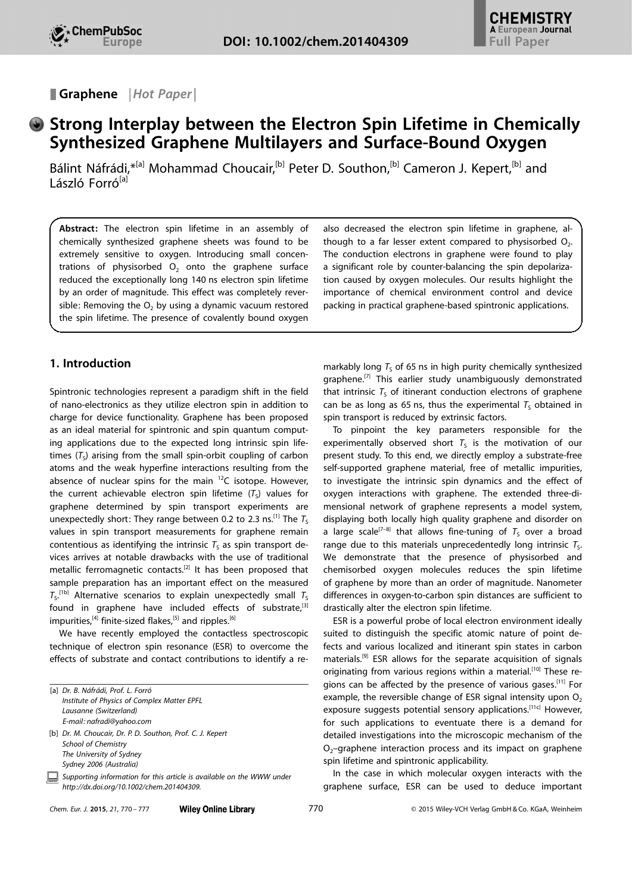Graphene | Hot Paper |

# Strong Interplay between the Electron Spin Lifetime in Chemically Synthesized Graphene Multilayers and Surface-Bound Oxygen

Bálint Náfrádi,\*<sup>[a]</sup> Mohammad Choucair,<sup>[b]</sup> Peter D. Southon,<sup>[b]</sup> Cameron J. Kepert,<sup>[b]</sup> and László Forró<sup>[a]</sup>

Abstract: The electron spin lifetime in an assembly of chemically synthesized graphene sheets was found to be extremely sensitive to oxygen. Introducing small concentrations of physisorbed  $O<sub>2</sub>$  onto the graphene surface reduced the exceptionally long 140 ns electron spin lifetime by an order of magnitude. This effect was completely reversible: Removing the  $O<sub>2</sub>$  by using a dynamic vacuum restored the spin lifetime. The presence of covalently bound oxygen

# 1. Introduction

Spintronic technologies represent a paradigm shift in the field of nano-electronics as they utilize electron spin in addition to charge for device functionality. Graphene has been proposed as an ideal material for spintronic and spin quantum computing applications due to the expected long intrinsic spin lifetimes  $(T<sub>s</sub>)$  arising from the small spin-orbit coupling of carbon atoms and the weak hyperfine interactions resulting from the absence of nuclear spins for the main  $^{12}$ C isotope. However, the current achievable electron spin lifetime  $(T<sub>S</sub>)$  values for graphene determined by spin transport experiments are unexpectedly short: They range between 0.2 to 2.3 ns.<sup>[1]</sup> The  $T_s$ values in spin transport measurements for graphene remain contentious as identifying the intrinsic  $T<sub>s</sub>$  as spin transport devices arrives at notable drawbacks with the use of traditional metallic ferromagnetic contacts.<sup>[2]</sup> It has been proposed that sample preparation has an important effect on the measured  $T_{\rm S}$ .<sup>[1b]</sup> Alternative scenarios to explain unexpectedly small  $T_{\rm S}$ found in graphene have included effects of substrate, $[3]$ impurities,<sup>[4]</sup> finite-sized flakes,<sup>[5]</sup> and ripples.<sup>[6]</sup>

We have recently employed the contactless spectroscopic technique of electron spin resonance (ESR) to overcome the effects of substrate and contact contributions to identify a re-

| [a] Dr. B. Náfrádi, Prof. L. Forró                                                                                 |
|--------------------------------------------------------------------------------------------------------------------|
| Institute of Physics of Complex Matter EPFL                                                                        |
| Lausanne (Switzerland)                                                                                             |
| E-mail: nafradi@yahoo.com                                                                                          |
| [b] Dr. M. Choucair, Dr. P. D. Southon, Prof. C. J. Kepert                                                         |
| <b>School of Chemistry</b>                                                                                         |
| The University of Sydney                                                                                           |
| Sydney 2006 (Australia)                                                                                            |
| Supporting information for this article is available on the WWW under<br>http://dx.doi.org/10.1002/chem.201404309. |

also decreased the electron spin lifetime in graphene, although to a far lesser extent compared to physisorbed  $O<sub>2</sub>$ . The conduction electrons in graphene were found to play a significant role by counter-balancing the spin depolarization caused by oxygen molecules. Our results highlight the importance of chemical environment control and device packing in practical graphene-based spintronic applications.

markably long  $T_S$  of 65 ns in high purity chemically synthesized graphene.<sup>[7]</sup> This earlier study unambiguously demonstrated that intrinsic  $T<sub>s</sub>$  of itinerant conduction electrons of graphene can be as long as 65 ns, thus the experimental  $T<sub>s</sub>$  obtained in spin transport is reduced by extrinsic factors.

To pinpoint the key parameters responsible for the experimentally observed short  $T<sub>S</sub>$  is the motivation of our present study. To this end, we directly employ a substrate-free self-supported graphene material, free of metallic impurities, to investigate the intrinsic spin dynamics and the effect of oxygen interactions with graphene. The extended three-dimensional network of graphene represents a model system, displaying both locally high quality graphene and disorder on a large scale<sup>[7-8]</sup> that allows fine-tuning of  $T_S$  over a broad range due to this materials unprecedentedly long intrinsic  $T<sub>s</sub>$ . We demonstrate that the presence of physisorbed and chemisorbed oxygen molecules reduces the spin lifetime of graphene by more than an order of magnitude. Nanometer differences in oxygen-to-carbon spin distances are sufficient to drastically alter the electron spin lifetime.

ESR is a powerful probe of local electron environment ideally suited to distinguish the specific atomic nature of point defects and various localized and itinerant spin states in carbon materials.[9] ESR allows for the separate acquisition of signals originating from various regions within a material.<sup>[10]</sup> These regions can be affected by the presence of various gases.[11] For example, the reversible change of ESR signal intensity upon  $O<sub>2</sub>$ exposure suggests potential sensory applications.<sup>[11c]</sup> However, for such applications to eventuate there is a demand for detailed investigations into the microscopic mechanism of the  $O<sub>2</sub>$ –graphene interaction process and its impact on graphene spin lifetime and spintronic applicability.

In the case in which molecular oxygen interacts with the graphene surface, ESR can be used to deduce important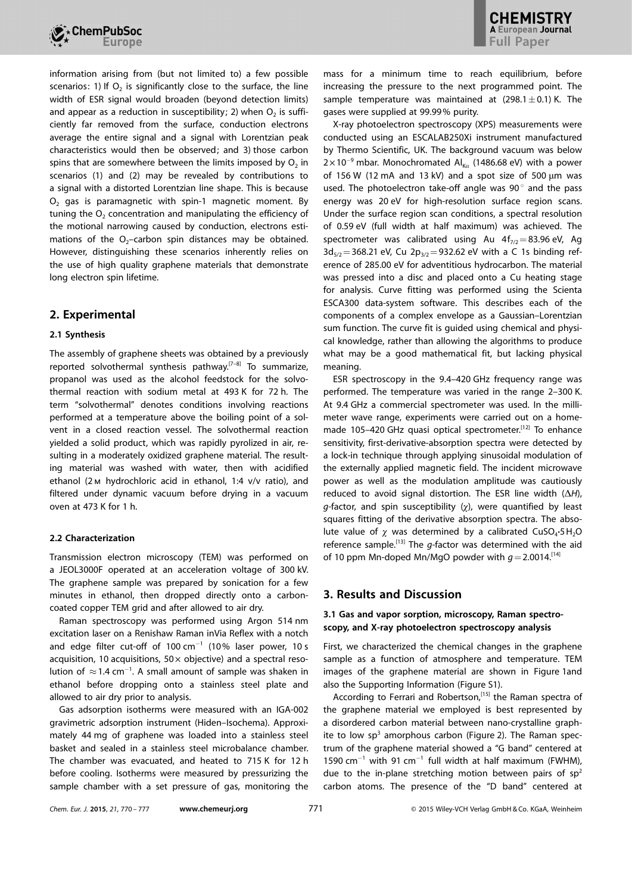

information arising from (but not limited to) a few possible scenarios: 1) If  $O<sub>2</sub>$  is significantly close to the surface, the line width of ESR signal would broaden (beyond detection limits) and appear as a reduction in susceptibility; 2) when  $O<sub>2</sub>$  is sufficiently far removed from the surface, conduction electrons average the entire signal and a signal with Lorentzian peak characteristics would then be observed; and 3) those carbon spins that are somewhere between the limits imposed by  $O<sub>2</sub>$  in scenarios (1) and (2) may be revealed by contributions to a signal with a distorted Lorentzian line shape. This is because  $O<sub>2</sub>$  gas is paramagnetic with spin-1 magnetic moment. By tuning the  $O<sub>2</sub>$  concentration and manipulating the efficiency of the motional narrowing caused by conduction, electrons estimations of the  $O<sub>2</sub>$ -carbon spin distances may be obtained. However, distinguishing these scenarios inherently relies on the use of high quality graphene materials that demonstrate long electron spin lifetime.

## 2. Experimental

### 2.1 Synthesis

The assembly of graphene sheets was obtained by a previously reported solvothermal synthesis pathway.<sup>[7-8]</sup> To summarize, propanol was used as the alcohol feedstock for the solvothermal reaction with sodium metal at 493 K for 72 h. The term "solvothermal" denotes conditions involving reactions performed at a temperature above the boiling point of a solvent in a closed reaction vessel. The solvothermal reaction yielded a solid product, which was rapidly pyrolized in air, resulting in a moderately oxidized graphene material. The resulting material was washed with water, then with acidified ethanol (2m hydrochloric acid in ethanol, 1:4 v/v ratio), and filtered under dynamic vacuum before drying in a vacuum oven at 473 K for 1 h.

### 2.2 Characterization

Transmission electron microscopy (TEM) was performed on a JEOL3000F operated at an acceleration voltage of 300 kV. The graphene sample was prepared by sonication for a few minutes in ethanol, then dropped directly onto a carboncoated copper TEM grid and after allowed to air dry.

Raman spectroscopy was performed using Argon 514 nm excitation laser on a Renishaw Raman inVia Reflex with a notch and edge filter cut-off of 100  $cm^{-1}$  (10% laser power, 10 s acquisition, 10 acquisitions,  $50 \times$  objective) and a spectral resolution of  $\approx$  1.4 cm<sup>-1</sup>. A small amount of sample was shaken in ethanol before dropping onto a stainless steel plate and allowed to air dry prior to analysis.

Gas adsorption isotherms were measured with an IGA-002 gravimetric adsorption instrument (Hiden–Isochema). Approximately 44 mg of graphene was loaded into a stainless steel basket and sealed in a stainless steel microbalance chamber. The chamber was evacuated, and heated to 715 K for 12 h before cooling. Isotherms were measured by pressurizing the sample chamber with a set pressure of gas, monitoring the mass for a minimum time to reach equilibrium, before increasing the pressure to the next programmed point. The sample temperature was maintained at  $(298.1 \pm 0.1)$  K. The gases were supplied at 99.99% purity.

X-ray photoelectron spectroscopy (XPS) measurements were conducted using an ESCALAB250Xi instrument manufactured by Thermo Scientific, UK. The background vacuum was below  $2 \times 10^{-9}$  mbar. Monochromated Al<sub>Ka</sub> (1486.68 eV) with a power of 156 W (12 mA and 13 kV) and a spot size of 500  $\mu$ m was used. The photoelectron take-off angle was 90 $^{\circ}$  and the pass energy was 20 eV for high-resolution surface region scans. Under the surface region scan conditions, a spectral resolution of 0.59 eV (full width at half maximum) was achieved. The spectrometer was calibrated using Au  $4f_{7/2} = 83.96$  eV, Ag  $3d_{5/2}$  = 368.21 eV, Cu 2p<sub>3/2</sub> = 932.62 eV with a C 1s binding reference of 285.00 eV for adventitious hydrocarbon. The material was pressed into a disc and placed onto a Cu heating stage for analysis. Curve fitting was performed using the Scienta ESCA300 data-system software. This describes each of the components of a complex envelope as a Gaussian–Lorentzian sum function. The curve fit is guided using chemical and physical knowledge, rather than allowing the algorithms to produce what may be a good mathematical fit, but lacking physical meaning.

ESR spectroscopy in the 9.4–420 GHz frequency range was performed. The temperature was varied in the range 2–300 K. At 9.4 GHz a commercial spectrometer was used. In the millimeter wave range, experiments were carried out on a homemade 105-420 GHz quasi optical spectrometer.<sup>[12]</sup> To enhance sensitivity, first-derivative-absorption spectra were detected by a lock-in technique through applying sinusoidal modulation of the externally applied magnetic field. The incident microwave power as well as the modulation amplitude was cautiously reduced to avoid signal distortion. The ESR line width  $(\Delta H)$ ,  $q$ -factor, and spin susceptibility ( $\gamma$ ), were quantified by least squares fitting of the derivative absorption spectra. The absolute value of  $\chi$  was determined by a calibrated CuSO<sub>4</sub>·5H<sub>2</sub>O reference sample.<sup>[13]</sup> The  $q$ -factor was determined with the aid of 10 ppm Mn-doped Mn/MgO powder with  $q=2.0014$ .<sup>[14]</sup>

## 3. Results and Discussion

## 3.1 Gas and vapor sorption, microscopy, Raman spectroscopy, and X-ray photoelectron spectroscopy analysis

First, we characterized the chemical changes in the graphene sample as a function of atmosphere and temperature. TEM images of the graphene material are shown in Figure 1and also the Supporting Information (Figure S1).

According to Ferrari and Robertson,<sup>[15]</sup> the Raman spectra of the graphene material we employed is best represented by a disordered carbon material between nano-crystalline graphite to low  $sp^3$  amorphous carbon (Figure 2). The Raman spectrum of the graphene material showed a "G band" centered at 1590  $cm^{-1}$  with 91  $cm^{-1}$  full width at half maximum (FWHM), due to the in-plane stretching motion between pairs of  $sp^2$ carbon atoms. The presence of the "D band" centered at

|  |  | Chem. Eur. J. 2015, 21, 770 - 777 |  |
|--|--|-----------------------------------|--|
|  |  |                                   |  |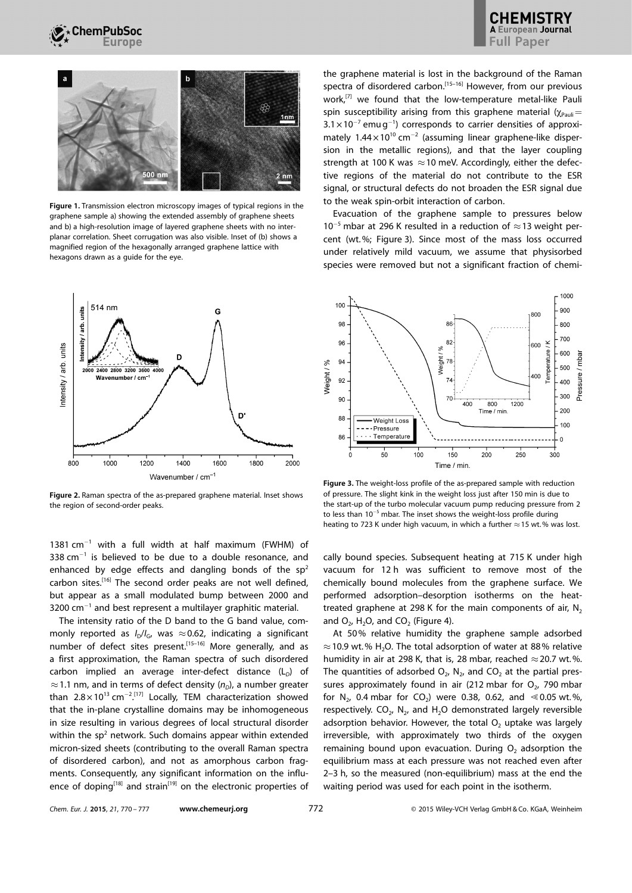



Figure 1. Transmission electron microscopy images of typical regions in the graphene sample a) showing the extended assembly of graphene sheets and b) a high-resolution image of layered graphene sheets with no interplanar correlation. Sheet corrugation was also visible. Inset of (b) shows a magnified region of the hexagonally arranged graphene lattice with hexagons drawn as a guide for the eye.



Figure 2. Raman spectra of the as-prepared graphene material. Inset shows the region of second-order peaks.

1381 cm-<sup>1</sup> with a full width at half maximum (FWHM) of 338  $cm^{-1}$  is believed to be due to a double resonance, and enhanced by edge effects and dangling bonds of the  $sp^2$ carbon sites.<sup>[16]</sup> The second order peaks are not well defined, but appear as a small modulated bump between 2000 and  $3200$  cm $^{-1}$  and best represent a multilayer graphitic material.

The intensity ratio of the D band to the G band value, commonly reported as  $I_D/I_G$ , was  $\approx 0.62$ , indicating a significant number of defect sites present.<sup>[15-16]</sup> More generally, and as a first approximation, the Raman spectra of such disordered carbon implied an average inter-defect distance  $(L<sub>D</sub>)$  of  $\approx$  1.1 nm, and in terms of defect density ( $n<sub>D</sub>$ ), a number greater than  $2.8 \times 10^{13}$  cm<sup>-2</sup>.<sup>[17]</sup> Locally, TEM characterization showed that the in-plane crystalline domains may be inhomogeneous in size resulting in various degrees of local structural disorder within the  $sp<sup>2</sup>$  network. Such domains appear within extended micron-sized sheets (contributing to the overall Raman spectra of disordered carbon), and not as amorphous carbon fragments. Consequently, any significant information on the influence of doping<sup>[18]</sup> and strain<sup>[19]</sup> on the electronic properties of the graphene material is lost in the background of the Raman spectra of disordered carbon.<sup>[15-16]</sup> However, from our previous work,<sup>[7]</sup> we found that the low-temperature metal-like Pauli spin susceptibility arising from this graphene material ( $\gamma_{\text{Pauli}}=$  $3.1 \times 10^{-7}$  emug<sup>-1</sup>) corresponds to carrier densities of approximately  $1.44 \times 10^{10}$  cm<sup>-2</sup> (assuming linear graphene-like dispersion in the metallic regions), and that the layer coupling strength at 100 K was  $\approx$  10 meV. Accordingly, either the defective regions of the material do not contribute to the ESR signal, or structural defects do not broaden the ESR signal due to the weak spin-orbit interaction of carbon.

Evacuation of the graphene sample to pressures below  $10^{-5}$  mbar at 296 K resulted in a reduction of  $\approx$  13 weight percent (wt.%; Figure 3). Since most of the mass loss occurred under relatively mild vacuum, we assume that physisorbed species were removed but not a significant fraction of chemi-



Figure 3. The weight-loss profile of the as-prepared sample with reduction of pressure. The slight kink in the weight loss just after 150 min is due to the start-up of the turbo molecular vacuum pump reducing pressure from 2 to less than  $10^{-5}$  mbar. The inset shows the weight-loss profile during heating to 723 K under high vacuum, in which a further  $\approx$  15 wt. % was lost.

cally bound species. Subsequent heating at 715 K under high vacuum for 12 h was sufficient to remove most of the chemically bound molecules from the graphene surface. We performed adsorption–desorption isotherms on the heattreated graphene at 298 K for the main components of air,  $N_2$ and  $O_2$ , H<sub>2</sub>O, and CO<sub>2</sub> (Figure 4).

At 50% relative humidity the graphene sample adsorbed  $\approx$  10.9 wt.% H<sub>2</sub>O. The total adsorption of water at 88% relative humidity in air at 298 K, that is, 28 mbar, reached  $\approx$  20.7 wt.%. The quantities of adsorbed  $O_2$ ,  $N_2$ , and  $CO_2$  at the partial pressures approximately found in air (212 mbar for  $O<sub>2</sub>$ , 790 mbar for  $N_2$ , 0.4 mbar for  $CO_2$ ) were 0.38, 0.62, and  $\le 0.05$  wt.%, respectively.  $CO<sub>2</sub>$ , N<sub>2</sub>, and H<sub>2</sub>O demonstrated largely reversible adsorption behavior. However, the total  $O<sub>2</sub>$  uptake was largely irreversible, with approximately two thirds of the oxygen remaining bound upon evacuation. During  $O<sub>2</sub>$  adsorption the equilibrium mass at each pressure was not reached even after 2–3 h, so the measured (non-equilibrium) mass at the end the waiting period was used for each point in the isotherm.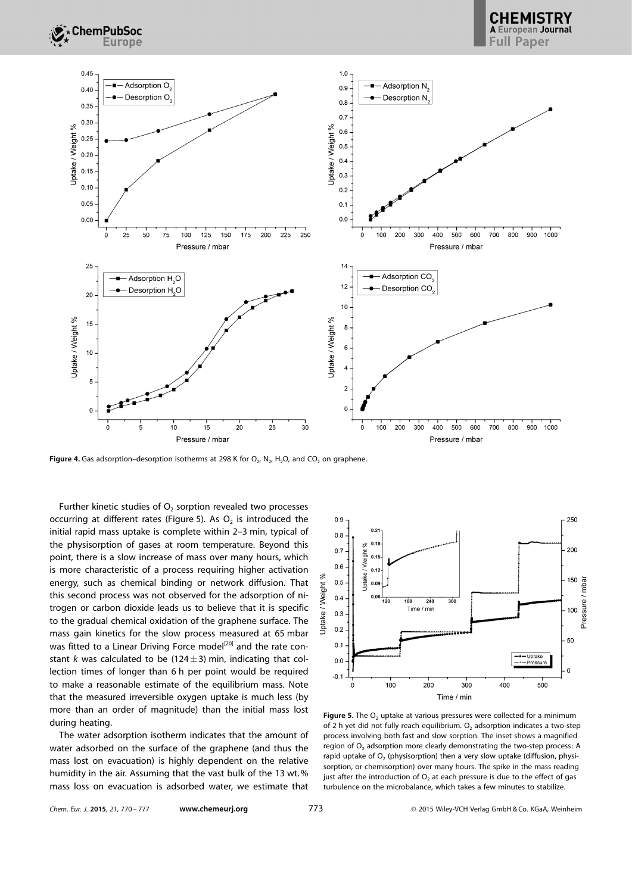

**CHEMISTRY** Full Paper



Figure 4. Gas adsorption–desorption isotherms at 298 K for  $O_2$ , N<sub>2</sub>, H<sub>2</sub>O, and CO<sub>2</sub> on graphene.

Further kinetic studies of  $O<sub>2</sub>$  sorption revealed two processes occurring at different rates (Figure 5). As  $O<sub>2</sub>$  is introduced the initial rapid mass uptake is complete within 2–3 min, typical of the physisorption of gases at room temperature. Beyond this point, there is a slow increase of mass over many hours, which is more characteristic of a process requiring higher activation energy, such as chemical binding or network diffusion. That this second process was not observed for the adsorption of nitrogen or carbon dioxide leads us to believe that it is specific to the gradual chemical oxidation of the graphene surface. The mass gain kinetics for the slow process measured at 65 mbar was fitted to a Linear Driving Force model<sup>[20]</sup> and the rate constant k was calculated to be (124 $\pm$ 3) min, indicating that collection times of longer than 6 h per point would be required to make a reasonable estimate of the equilibrium mass. Note that the measured irreversible oxygen uptake is much less (by more than an order of magnitude) than the initial mass lost during heating.

The water adsorption isotherm indicates that the amount of water adsorbed on the surface of the graphene (and thus the mass lost on evacuation) is highly dependent on the relative humidity in the air. Assuming that the vast bulk of the 13 wt.% mass loss on evacuation is adsorbed water, we estimate that



**Figure 5.** The  $O<sub>2</sub>$  uptake at various pressures were collected for a minimum of 2 h yet did not fully reach equilibrium.  $O<sub>2</sub>$  adsorption indicates a two-step process involving both fast and slow sorption. The inset shows a magnified region of  $O_2$  adsorption more clearly demonstrating the two-step process: A rapid uptake of  $O<sub>2</sub>$  (physisorption) then a very slow uptake (diffusion, physisorption, or chemisorption) over many hours. The spike in the mass reading just after the introduction of  $O<sub>2</sub>$  at each pressure is due to the effect of gas turbulence on the microbalance, which takes a few minutes to stabilize.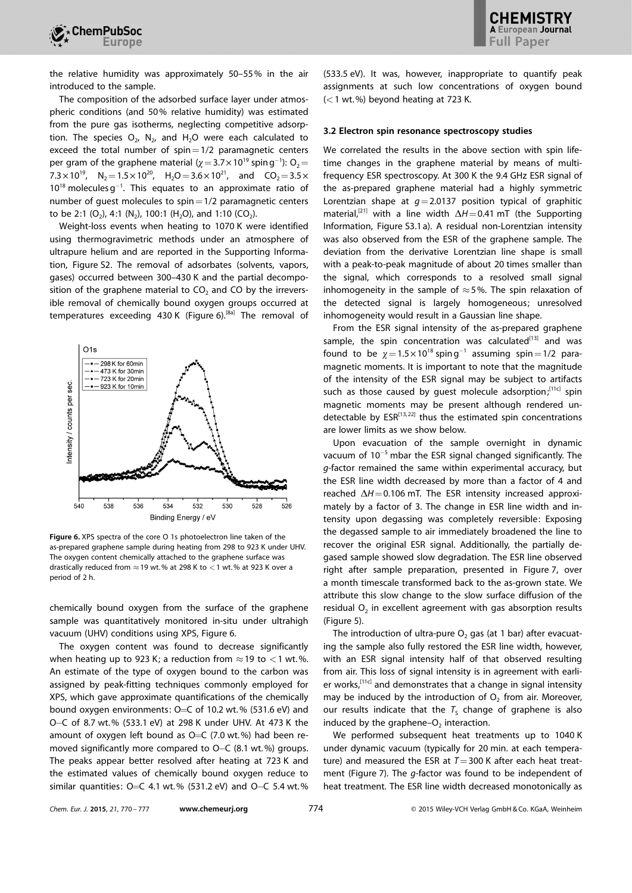the relative humidity was approximately 50–55% in the air introduced to the sample.

The composition of the adsorbed surface layer under atmospheric conditions (and 50% relative humidity) was estimated from the pure gas isotherms, neglecting competitive adsorption. The species  $O_{2}$ , N<sub>2</sub>, and H<sub>2</sub>O were each calculated to exceed the total number of  $spin=1/2$  paramagnetic centers per gram of the graphene material ( $\chi$  = 3.7  $\times$  10<sup>19</sup> spin g<sup>-1</sup>): O<sub>2</sub> = 7.3  $\times$  10<sup>19</sup>, N<sub>2</sub> = 1.5  $\times$  10<sup>20</sup>, H<sub>2</sub>O = 3.6  $\times$  10<sup>21</sup>, and CO<sub>2</sub> = 3.5  $\times$  $10^{18}$  molecules  $g^{-1}$ . This equates to an approximate ratio of number of guest molecules to  $spin=1/2$  paramagnetic centers to be 2:1  $(O_2)$ , 4:1  $(N_2)$ , 100:1  $(H_2O)$ , and 1:10  $(CO_2)$ .

Weight-loss events when heating to 1070 K were identified using thermogravimetric methods under an atmosphere of ultrapure helium and are reported in the Supporting Information, Figure S2. The removal of adsorbates (solvents, vapors, gases) occurred between 300–430 K and the partial decomposition of the graphene material to  $CO<sub>2</sub>$  and CO by the irreversible removal of chemically bound oxygen groups occurred at temperatures exceeding 430 K (Figure 6).<sup>[8a]</sup> The removal of



Figure 6. XPS spectra of the core O 1s photoelectron line taken of the as-prepared graphene sample during heating from 298 to 923 K under UHV. The oxygen content chemically attached to the graphene surface was drastically reduced from  $\approx$  19 wt. % at 298 K to  $<$  1 wt. % at 923 K over a period of 2 h.

chemically bound oxygen from the surface of the graphene sample was quantitatively monitored in-situ under ultrahigh vacuum (UHV) conditions using XPS, Figure 6.

The oxygen content was found to decrease significantly when heating up to 923 K; a reduction from  $\approx$  19 to  $<$  1 wt.%. An estimate of the type of oxygen bound to the carbon was assigned by peak-fitting techniques commonly employed for XPS, which gave approximate quantifications of the chemically bound oxygen environments: O=C of 10.2 wt.% (531.6 eV) and O-C of 8.7 wt.% (533.1 eV) at 298 K under UHV. At 473 K the amount of oxygen left bound as  $O=C$  (7.0 wt.%) had been removed significantly more compared to O-C (8.1 wt.%) groups. The peaks appear better resolved after heating at 723 K and the estimated values of chemically bound oxygen reduce to similar quantities: O=C 4.1 wt.% (531.2 eV) and O–C 5.4 wt.%

(533.5 eV). It was, however, inappropriate to quantify peak assignments at such low concentrations of oxygen bound  $(<$  1 wt.%) beyond heating at 723 K.

#### 3.2 Electron spin resonance spectroscopy studies

We correlated the results in the above section with spin lifetime changes in the graphene material by means of multifrequency ESR spectroscopy. At 300 K the 9.4 GHz ESR signal of the as-prepared graphene material had a highly symmetric Lorentzian shape at  $g=2.0137$  position typical of graphitic material,<sup>[21]</sup> with a line width  $\Delta H$  = 0.41 mT (the Supporting Information, Figure S3.1 a). A residual non-Lorentzian intensity was also observed from the ESR of the graphene sample. The deviation from the derivative Lorentzian line shape is small with a peak-to-peak magnitude of about 20 times smaller than the signal, which corresponds to a resolved small signal inhomogeneity in the sample of  $\approx$  5%. The spin relaxation of the detected signal is largely homogeneous; unresolved inhomogeneity would result in a Gaussian line shape.

From the ESR signal intensity of the as-prepared graphene sample, the spin concentration was calculated $[13]$  and was found to be  $\chi = 1.5 \times 10^{18}$  spin g<sup>-1</sup> assuming spin = 1/2 paramagnetic moments. It is important to note that the magnitude of the intensity of the ESR signal may be subject to artifacts such as those caused by quest molecule adsorption;<sup>[11c]</sup> spin magnetic moments may be present although rendered undetectable by  $ESR^{[13, 22]}$  thus the estimated spin concentrations are lower limits as we show below.

Upon evacuation of the sample overnight in dynamic vacuum of 10<sup>-5</sup> mbar the ESR signal changed significantly. The g-factor remained the same within experimental accuracy, but the ESR line width decreased by more than a factor of 4 and reached  $\Delta H$  = 0.106 mT. The ESR intensity increased approximately by a factor of 3. The change in ESR line width and intensity upon degassing was completely reversible: Exposing the degassed sample to air immediately broadened the line to recover the original ESR signal. Additionally, the partially degased sample showed slow degradation. The ESR line observed right after sample preparation, presented in Figure 7, over a month timescale transformed back to the as-grown state. We attribute this slow change to the slow surface diffusion of the residual  $O<sub>2</sub>$  in excellent agreement with gas absorption results (Figure 5).

The introduction of ultra-pure  $O<sub>2</sub>$  gas (at 1 bar) after evacuating the sample also fully restored the ESR line width, however, with an ESR signal intensity half of that observed resulting from air. This loss of signal intensity is in agreement with earlier works,  $[11c]$  and demonstrates that a change in signal intensity may be induced by the introduction of  $O<sub>2</sub>$  from air. Moreover, our results indicate that the  $T<sub>S</sub>$  change of graphene is also induced by the graphene– $O<sub>2</sub>$  interaction.

We performed subsequent heat treatments up to 1040 K under dynamic vacuum (typically for 20 min. at each temperature) and measured the ESR at  $T=300$  K after each heat treatment (Figure 7). The *q*-factor was found to be independent of heat treatment. The ESR line width decreased monotonically as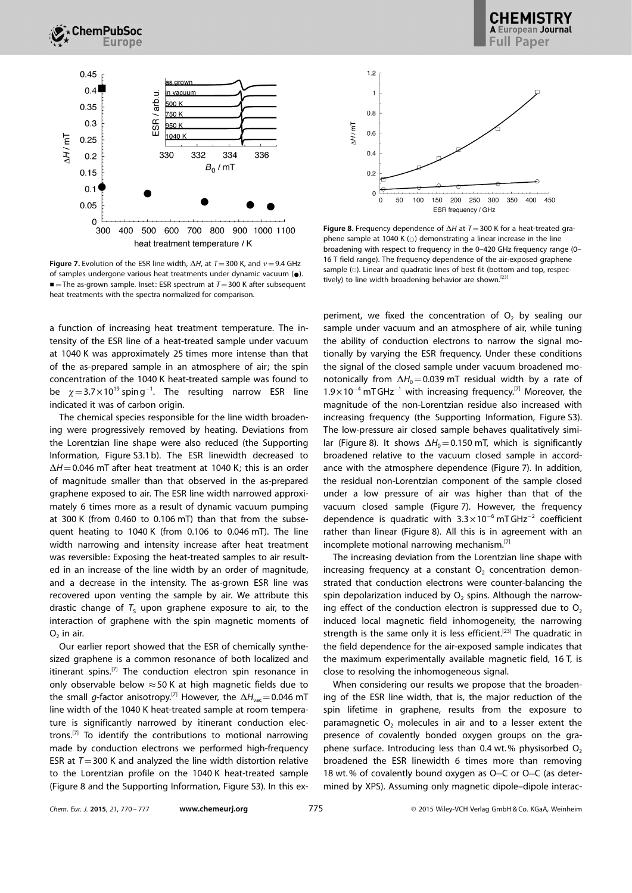

Figure 7. Evolution of the ESR line width,  $\Delta H$ , at T = 300 K, and  $\nu$  = 9.4 GHz of samples undergone various heat treatments under dynamic vacuum  $(\bullet)$ .  $\blacksquare$  = The as-grown sample. Inset: ESR spectrum at  $T=300$  K after subsequent heat treatments with the spectra normalized for comparison.

a function of increasing heat treatment temperature. The intensity of the ESR line of a heat-treated sample under vacuum at 1040 K was approximately 25 times more intense than that of the as-prepared sample in an atmosphere of air; the spin concentration of the 1040 K heat-treated sample was found to be  $\chi$  = 3.7  $\times$  10<sup>19</sup> spin g<sup>-1</sup>. The resulting narrow ESR line indicated it was of carbon origin.

The chemical species responsible for the line width broadening were progressively removed by heating. Deviations from the Lorentzian line shape were also reduced (the Supporting Information, Figure S3.1 b). The ESR linewidth decreased to  $\Delta H$  = 0.046 mT after heat treatment at 1040 K; this is an order of magnitude smaller than that observed in the as-prepared graphene exposed to air. The ESR line width narrowed approximately 6 times more as a result of dynamic vacuum pumping at 300 K (from 0.460 to 0.106 mT) than that from the subsequent heating to 1040 K (from 0.106 to 0.046 mT). The line width narrowing and intensity increase after heat treatment was reversible: Exposing the heat-treated samples to air resulted in an increase of the line width by an order of magnitude, and a decrease in the intensity. The as-grown ESR line was recovered upon venting the sample by air. We attribute this drastic change of  $T<sub>S</sub>$  upon graphene exposure to air, to the interaction of graphene with the spin magnetic moments of  $O<sub>2</sub>$  in air.

Our earlier report showed that the ESR of chemically synthesized graphene is a common resonance of both localized and itinerant spins.<sup>[7]</sup> The conduction electron spin resonance in only observable below  $\approx$  50 K at high magnetic fields due to the small g-factor anisotropy.<sup>[7]</sup> However, the  $\Delta H_{\text{vac}} = 0.046$  mT line width of the 1040 K heat-treated sample at room temperature is significantly narrowed by itinerant conduction electrons.<sup>[7]</sup> To identify the contributions to motional narrowing made by conduction electrons we performed high-frequency ESR at  $T=300$  K and analyzed the line width distortion relative to the Lorentzian profile on the 1040 K heat-treated sample (Figure 8 and the Supporting Information, Figure S3). In this ex-



**European Journal** Full Paper

Figure 8. Frequency dependence of  $\Delta H$  at  $T=300$  K for a heat-treated graphene sample at 1040 K ( $\circ$ ) demonstrating a linear increase in the line broadening with respect to frequency in the 0–420 GHz frequency range (0– 16 T field range). The frequency dependence of the air-exposed graphene sample  $(\Box)$ . Linear and quadratic lines of best fit (bottom and top, respectively) to line width broadening behavior are shown.<sup>[23]</sup>

periment, we fixed the concentration of  $O<sub>2</sub>$  by sealing our sample under vacuum and an atmosphere of air, while tuning the ability of conduction electrons to narrow the signal motionally by varying the ESR frequency. Under these conditions the signal of the closed sample under vacuum broadened monotonically from  $\Delta H_0$  = 0.039 mT residual width by a rate of  $1.9 \times 10^{-4}$  mTGHz<sup>-1</sup> with increasing frequency.<sup>[7]</sup> Moreover, the magnitude of the non-Lorentzian residue also increased with increasing frequency (the Supporting Information, Figure S3). The low-pressure air closed sample behaves qualitatively similar (Figure 8). It shows  $\Delta H_0$  = 0.150 mT, which is significantly broadened relative to the vacuum closed sample in accordance with the atmosphere dependence (Figure 7). In addition, the residual non-Lorentzian component of the sample closed under a low pressure of air was higher than that of the vacuum closed sample (Figure 7). However, the frequency dependence is quadratic with  $3.3 \times 10^{-6}$  mTGHz<sup>-2</sup> coefficient rather than linear (Figure 8). All this is in agreement with an incomplete motional narrowing mechanism.<sup>[7]</sup>

The increasing deviation from the Lorentzian line shape with increasing frequency at a constant  $O<sub>2</sub>$  concentration demonstrated that conduction electrons were counter-balancing the spin depolarization induced by  $O<sub>2</sub>$  spins. Although the narrowing effect of the conduction electron is suppressed due to  $O<sub>2</sub>$ induced local magnetic field inhomogeneity, the narrowing strength is the same only it is less efficient.<sup>[23]</sup> The quadratic in the field dependence for the air-exposed sample indicates that the maximum experimentally available magnetic field, 16 T, is close to resolving the inhomogeneous signal.

When considering our results we propose that the broadening of the ESR line width, that is, the major reduction of the spin lifetime in graphene, results from the exposure to paramagnetic  $O<sub>2</sub>$  molecules in air and to a lesser extent the presence of covalently bonded oxygen groups on the graphene surface. Introducing less than 0.4 wt.% physisorbed  $O<sub>2</sub>$ broadened the ESR linewidth 6 times more than removing 18 wt.% of covalently bound oxygen as O–C or O=C (as determined by XPS). Assuming only magnetic dipole–dipole interac-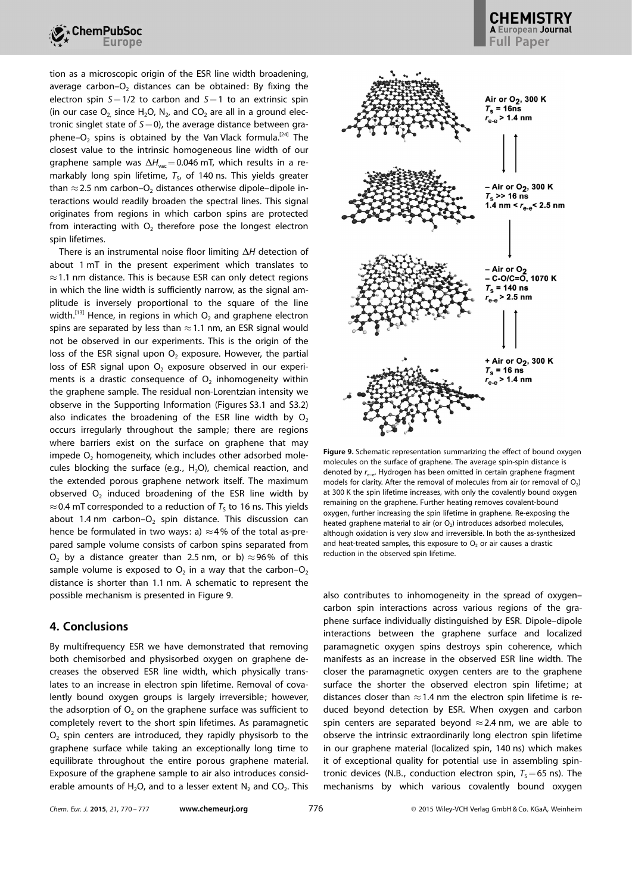

tion as a microscopic origin of the ESR line width broadening, average carbon– $O<sub>2</sub>$  distances can be obtained: By fixing the electron spin  $S=1/2$  to carbon and  $S=1$  to an extrinsic spin (in our case  $O_2$  since H<sub>2</sub>O, N<sub>2</sub>, and CO<sub>2</sub> are all in a ground electronic singlet state of  $S=0$ ), the average distance between graphene–O<sub>2</sub> spins is obtained by the Van Vlack formula.<sup>[24]</sup> The closest value to the intrinsic homogeneous line width of our graphene sample was  $\Delta H_{\text{vac}}$  = 0.046 mT, which results in a remarkably long spin lifetime,  $T<sub>S</sub>$ , of 140 ns. This yields greater than  $\approx$  2.5 nm carbon–O<sub>2</sub> distances otherwise dipole–dipole interactions would readily broaden the spectral lines. This signal originates from regions in which carbon spins are protected from interacting with  $O<sub>2</sub>$  therefore pose the longest electron spin lifetimes.

There is an instrumental noise floor limiting  $\Delta H$  detection of about 1 mT in the present experiment which translates to  $\approx$  1.1 nm distance. This is because ESR can only detect regions in which the line width is sufficiently narrow, as the signal amplitude is inversely proportional to the square of the line width.<sup>[13]</sup> Hence, in regions in which  $O_2$  and graphene electron spins are separated by less than  $\approx$  1.1 nm, an ESR signal would not be observed in our experiments. This is the origin of the loss of the ESR signal upon  $O<sub>2</sub>$  exposure. However, the partial loss of ESR signal upon  $O<sub>2</sub>$  exposure observed in our experiments is a drastic consequence of  $O<sub>2</sub>$  inhomogeneity within the graphene sample. The residual non-Lorentzian intensity we observe in the Supporting Information (Figures S3.1 and S3.2) also indicates the broadening of the ESR line width by  $O<sub>2</sub>$ occurs irregularly throughout the sample; there are regions where barriers exist on the surface on graphene that may impede  $O<sub>2</sub>$  homogeneity, which includes other adsorbed molecules blocking the surface (e.g.,  $H_2O$ ), chemical reaction, and the extended porous graphene network itself. The maximum observed  $O<sub>2</sub>$  induced broadening of the ESR line width by  $\approx$  0.4 mT corresponded to a reduction of  $T<sub>s</sub>$  to 16 ns. This yields about 1.4 nm carbon– $O<sub>2</sub>$  spin distance. This discussion can hence be formulated in two ways: a)  $\approx$  4% of the total as-prepared sample volume consists of carbon spins separated from O<sub>2</sub> by a distance greater than 2.5 nm, or b)  $\approx$  96% of this sample volume is exposed to  $O_2$  in a way that the carbon– $O_2$ distance is shorter than 1.1 nm. A schematic to represent the possible mechanism is presented in Figure 9.

# 4. Conclusions

By multifrequency ESR we have demonstrated that removing both chemisorbed and physisorbed oxygen on graphene decreases the observed ESR line width, which physically translates to an increase in electron spin lifetime. Removal of covalently bound oxygen groups is largely irreversible; however, the adsorption of  $O<sub>2</sub>$  on the graphene surface was sufficient to completely revert to the short spin lifetimes. As paramagnetic  $O<sub>2</sub>$  spin centers are introduced, they rapidly physisorb to the graphene surface while taking an exceptionally long time to equilibrate throughout the entire porous graphene material. Exposure of the graphene sample to air also introduces considerable amounts of H<sub>2</sub>O, and to a lesser extent N<sub>2</sub> and CO<sub>2</sub>. This





Figure 9. Schematic representation summarizing the effect of bound oxygen molecules on the surface of graphene. The average spin-spin distance is denoted by  $r_{e-e}$ . Hydrogen has been omitted in certain graphene fragment models for clarity. After the removal of molecules from air (or removal of  $O<sub>2</sub>$ ) at 300 K the spin lifetime increases, with only the covalently bound oxygen remaining on the graphene. Further heating removes covalent-bound oxygen, further increasing the spin lifetime in graphene. Re-exposing the heated graphene material to air (or  $O<sub>2</sub>$ ) introduces adsorbed molecules, although oxidation is very slow and irreversible. In both the as-synthesized and heat-treated samples, this exposure to  $O<sub>2</sub>$  or air causes a drastic reduction in the observed spin lifetime.

also contributes to inhomogeneity in the spread of oxygen– carbon spin interactions across various regions of the graphene surface individually distinguished by ESR. Dipole–dipole interactions between the graphene surface and localized paramagnetic oxygen spins destroys spin coherence, which manifests as an increase in the observed ESR line width. The closer the paramagnetic oxygen centers are to the graphene surface the shorter the observed electron spin lifetime; at distances closer than  $\approx$  1.4 nm the electron spin lifetime is reduced beyond detection by ESR. When oxygen and carbon spin centers are separated beyond  $\approx$  2.4 nm, we are able to observe the intrinsic extraordinarily long electron spin lifetime in our graphene material (localized spin, 140 ns) which makes it of exceptional quality for potential use in assembling spintronic devices (N.B., conduction electron spin,  $T<sub>s</sub>=65$  ns). The mechanisms by which various covalently bound oxygen